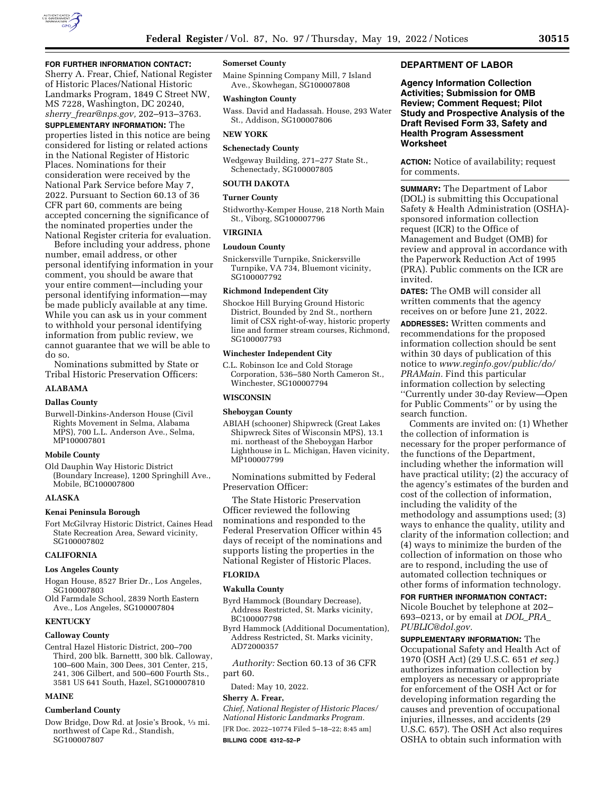

### **FOR FURTHER INFORMATION CONTACT:**

Sherry A. Frear, Chief, National Register of Historic Places/National Historic Landmarks Program, 1849 C Street NW, MS 7228, Washington, DC 20240, *sherry*\_*[frear@nps.gov,](mailto:sherry_frear@nps.gov)* 202–913–3763.

**SUPPLEMENTARY INFORMATION:** The properties listed in this notice are being considered for listing or related actions in the National Register of Historic Places. Nominations for their consideration were received by the National Park Service before May 7, 2022. Pursuant to Section 60.13 of 36 CFR part 60, comments are being accepted concerning the significance of the nominated properties under the National Register criteria for evaluation.

Before including your address, phone number, email address, or other personal identifying information in your comment, you should be aware that your entire comment—including your personal identifying information—may be made publicly available at any time. While you can ask us in your comment to withhold your personal identifying information from public review, we cannot guarantee that we will be able to do so.

Nominations submitted by State or Tribal Historic Preservation Officers:

## **ALABAMA**

# **Dallas County**

Burwell-Dinkins-Anderson House (Civil Rights Movement in Selma, Alabama MPS), 700 L.L. Anderson Ave., Selma, MP100007801

### **Mobile County**

Old Dauphin Way Historic District (Boundary Increase), 1200 Springhill Ave., Mobile, BC100007800

## **ALASKA**

## **Kenai Peninsula Borough**

Fort McGilvray Historic District, Caines Head State Recreation Area, Seward vicinity, SG100007802

#### **CALIFORNIA**

#### **Los Angeles County**

- Hogan House, 8527 Brier Dr., Los Angeles, SG100007803
- Old Farmdale School, 2839 North Eastern Ave., Los Angeles, SG100007804

## **KENTUCKY**

### **Calloway County**

Central Hazel Historic District, 200–700 Third, 200 blk. Barnettt, 300 blk. Calloway, 100–600 Main, 300 Dees, 301 Center, 215, 241, 306 Gilbert, and 500–600 Fourth Sts., 3581 US 641 South, Hazel, SG100007810

#### **MAINE**

#### **Cumberland County**

Dow Bridge, Dow Rd. at Josie's Brook, 1⁄3 mi. northwest of Cape Rd., Standish, SG100007807

### **Somerset County**

Maine Spinning Company Mill, 7 Island Ave., Skowhegan, SG100007808

#### **Washington County**

Wass. David and Hadassah. House, 293 Water St., Addison, SG100007806

#### **NEW YORK**

#### **Schenectady County**

Wedgeway Building, 271–277 State St., Schenectady, SG100007805

## **SOUTH DAKOTA**

## **Turner County**

Stidworthy-Kemper House, 218 North Main St., Viborg, SG100007796

## **VIRGINIA**

#### **Loudoun County**

Snickersville Turnpike, Snickersville Turnpike, VA 734, Bluemont vicinity, SG100007792

### **Richmond Independent City**

Shockoe Hill Burying Ground Historic District, Bounded by 2nd St., northern limit of CSX right-of-way, historic property line and former stream courses, Richmond, SG100007793

## **Winchester Independent City**

C.L. Robinson Ice and Cold Storage Corporation, 536–580 North Cameron St., Winchester, SG100007794

# **WISCONSIN**

#### **Sheboygan County**

ABIAH (schooner) Shipwreck (Great Lakes Shipwreck Sites of Wisconsin MPS), 13.1 mi. northeast of the Sheboygan Harbor Lighthouse in L. Michigan, Haven vicinity, MP100007799

Nominations submitted by Federal Preservation Officer:

The State Historic Preservation Officer reviewed the following nominations and responded to the Federal Preservation Officer within 45 days of receipt of the nominations and supports listing the properties in the National Register of Historic Places.

# **FLORIDA**

## **Wakulla County**

- Byrd Hammock (Boundary Decrease), Address Restricted, St. Marks vicinity, BC100007798
- Byrd Hammock (Additional Documentation), Address Restricted, St. Marks vicinity, AD72000357

*Authority:* Section 60.13 of 36 CFR part 60.

Dated: May 10, 2022.

### **Sherry A. Frear,**

*Chief, National Register of Historic Places/ National Historic Landmarks Program.*  [FR Doc. 2022–10774 Filed 5–18–22; 8:45 am] **BILLING CODE 4312–52–P** 

## **DEPARTMENT OF LABOR**

**Agency Information Collection Activities; Submission for OMB Review; Comment Request; Pilot Study and Prospective Analysis of the Draft Revised Form 33, Safety and Health Program Assessment Worksheet** 

**ACTION:** Notice of availability; request for comments.

**SUMMARY:** The Department of Labor (DOL) is submitting this Occupational Safety & Health Administration (OSHA) sponsored information collection request (ICR) to the Office of Management and Budget (OMB) for review and approval in accordance with the Paperwork Reduction Act of 1995 (PRA). Public comments on the ICR are invited.

**DATES:** The OMB will consider all written comments that the agency receives on or before June 21, 2022.

**ADDRESSES:** Written comments and recommendations for the proposed information collection should be sent within 30 days of publication of this notice to *[www.reginfo.gov/public/do/](http://www.reginfo.gov/public/do/PRAMain) [PRAMain.](http://www.reginfo.gov/public/do/PRAMain)* Find this particular information collection by selecting ''Currently under 30-day Review—Open for Public Comments'' or by using the search function.

Comments are invited on: (1) Whether the collection of information is necessary for the proper performance of the functions of the Department, including whether the information will have practical utility; (2) the accuracy of the agency's estimates of the burden and cost of the collection of information, including the validity of the methodology and assumptions used; (3) ways to enhance the quality, utility and clarity of the information collection; and (4) ways to minimize the burden of the collection of information on those who are to respond, including the use of automated collection techniques or other forms of information technology.

# **FOR FURTHER INFORMATION CONTACT:**  Nicole Bouchet by telephone at 202– 693–0213, or by email at *[DOL](mailto:DOL_PRA_PUBLIC@dol.gov)*\_*PRA*\_ *[PUBLIC@dol.gov.](mailto:DOL_PRA_PUBLIC@dol.gov)*

**SUPPLEMENTARY INFORMATION:** The Occupational Safety and Health Act of 1970 (OSH Act) (29 U.S.C. 651 *et seq.*) authorizes information collection by employers as necessary or appropriate for enforcement of the OSH Act or for developing information regarding the causes and prevention of occupational injuries, illnesses, and accidents (29 U.S.C. 657). The OSH Act also requires OSHA to obtain such information with